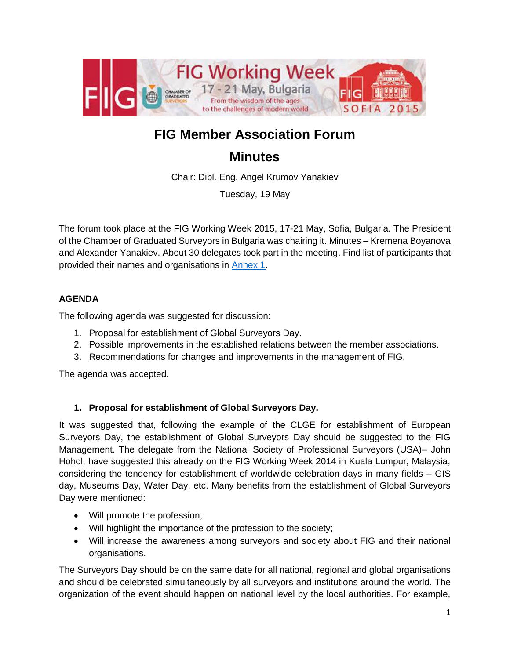

# **FIG Member Association Forum**

## **Minutes**

Chair: Dipl. Eng. Angel Krumov Yanakiev

Tuesday, 19 May

The forum took place at the FIG Working Week 2015, 17-21 May, Sofia, Bulgaria. The President of the Chamber of Graduated Surveyors in Bulgaria was chairing it. Minutes – Kremena Boyanova and Alexander Yanakiev. About 30 delegates took part in the meeting. Find list of participants that provided their names and organisations in [Annex 1.](#page-2-0)

#### **AGENDA**

The following agenda was suggested for discussion:

- 1. Proposal for establishment of Global Surveyors Day.
- 2. Possible improvements in the established relations between the member associations.
- 3. Recommendations for changes and improvements in the management of FIG.

The agenda was accepted.

#### **1. Proposal for establishment of Global Surveyors Day.**

It was suggested that, following the example of the CLGE for establishment of European Surveyors Day, the establishment of Global Surveyors Day should be suggested to the FIG Management. The delegate from the National Society of Professional Surveyors (USA)– John Hohol, have suggested this already on the FIG Working Week 2014 in Kuala Lumpur, Malaysia, considering the tendency for establishment of worldwide celebration days in many fields – GIS day, Museums Day, Water Day, etc. Many benefits from the establishment of Global Surveyors Day were mentioned:

- Will promote the profession;
- Will highlight the importance of the profession to the society;
- Will increase the awareness among surveyors and society about FIG and their national organisations.

The Surveyors Day should be on the same date for all national, regional and global organisations and should be celebrated simultaneously by all surveyors and institutions around the world. The organization of the event should happen on national level by the local authorities. For example,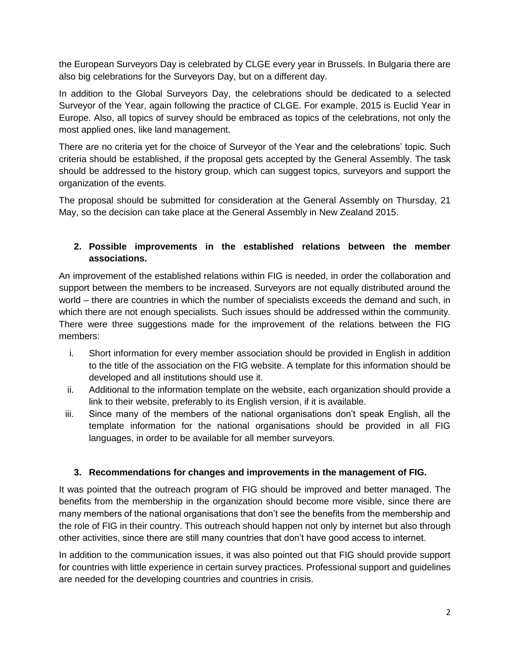the European Surveyors Day is celebrated by CLGE every year in Brussels. In Bulgaria there are also big celebrations for the Surveyors Day, but on a different day.

In addition to the Global Surveyors Day, the celebrations should be dedicated to a selected Surveyor of the Year, again following the practice of CLGE. For example, 2015 is Euclid Year in Europe. Also, all topics of survey should be embraced as topics of the celebrations, not only the most applied ones, like land management.

There are no criteria yet for the choice of Surveyor of the Year and the celebrations' topic. Such criteria should be established, if the proposal gets accepted by the General Assembly. The task should be addressed to the history group, which can suggest topics, surveyors and support the organization of the events.

The proposal should be submitted for consideration at the General Assembly on Thursday, 21 May, so the decision can take place at the General Assembly in New Zealand 2015.

#### **2. Possible improvements in the established relations between the member associations.**

An improvement of the established relations within FIG is needed, in order the collaboration and support between the members to be increased. Surveyors are not equally distributed around the world – there are countries in which the number of specialists exceeds the demand and such, in which there are not enough specialists. Such issues should be addressed within the community. There were three suggestions made for the improvement of the relations between the FIG members:

- i. Short information for every member association should be provided in English in addition to the title of the association on the FIG website. A template for this information should be developed and all institutions should use it.
- ii. Additional to the information template on the website, each organization should provide a link to their website, preferably to its English version, if it is available.
- iii. Since many of the members of the national organisations don't speak English, all the template information for the national organisations should be provided in all FIG languages, in order to be available for all member surveyors.

#### **3. Recommendations for changes and improvements in the management of FIG.**

It was pointed that the outreach program of FIG should be improved and better managed. The benefits from the membership in the organization should become more visible, since there are many members of the national organisations that don't see the benefits from the membership and the role of FIG in their country. This outreach should happen not only by internet but also through other activities, since there are still many countries that don't have good access to internet.

In addition to the communication issues, it was also pointed out that FIG should provide support for countries with little experience in certain survey practices. Professional support and guidelines are needed for the developing countries and countries in crisis.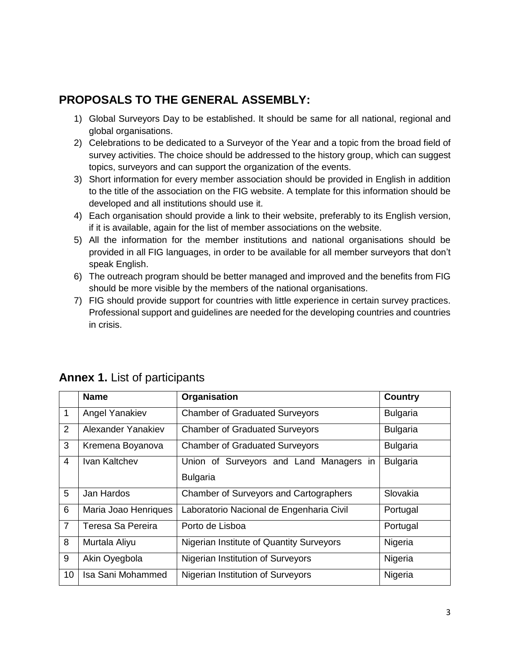### **PROPOSALS TO THE GENERAL ASSEMBLY:**

- 1) Global Surveyors Day to be established. It should be same for all national, regional and global organisations.
- 2) Celebrations to be dedicated to a Surveyor of the Year and a topic from the broad field of survey activities. The choice should be addressed to the history group, which can suggest topics, surveyors and can support the organization of the events.
- 3) Short information for every member association should be provided in English in addition to the title of the association on the FIG website. A template for this information should be developed and all institutions should use it.
- 4) Each organisation should provide a link to their website, preferably to its English version, if it is available, again for the list of member associations on the website.
- 5) All the information for the member institutions and national organisations should be provided in all FIG languages, in order to be available for all member surveyors that don't speak English.
- 6) The outreach program should be better managed and improved and the benefits from FIG should be more visible by the members of the national organisations.
- 7) FIG should provide support for countries with little experience in certain survey practices. Professional support and guidelines are needed for the developing countries and countries in crisis.

|                | <b>Name</b>          | Organisation                             | <b>Country</b>  |
|----------------|----------------------|------------------------------------------|-----------------|
| $\mathbf{1}$   | Angel Yanakiev       | <b>Chamber of Graduated Surveyors</b>    | <b>Bulgaria</b> |
| 2              | Alexander Yanakiev   | <b>Chamber of Graduated Surveyors</b>    | <b>Bulgaria</b> |
| 3              | Kremena Boyanova     | <b>Chamber of Graduated Surveyors</b>    | <b>Bulgaria</b> |
| $\overline{4}$ | Ivan Kaltchev        | Union of Surveyors and Land Managers in  | <b>Bulgaria</b> |
|                |                      | <b>Bulgaria</b>                          |                 |
| 5              | Jan Hardos           | Chamber of Surveyors and Cartographers   | Slovakia        |
| 6              | Maria Joao Henriques | Laboratorio Nacional de Engenharia Civil | Portugal        |
| $\overline{7}$ | Teresa Sa Pereira    | Porto de Lisboa                          | Portugal        |
| 8              | Murtala Aliyu        | Nigerian Institute of Quantity Surveyors | Nigeria         |
| 9              | Akin Oyegbola        | Nigerian Institution of Surveyors        | Nigeria         |
| 10             | Isa Sani Mohammed    | Nigerian Institution of Surveyors        | Nigeria         |

### <span id="page-2-0"></span>**Annex 1.** List of participants